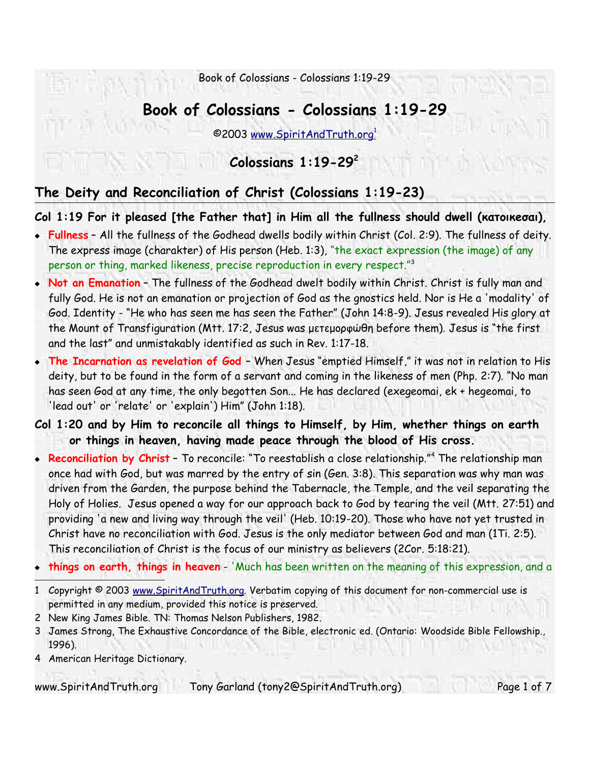# **Book of Colossians - Colossians 1:19-29**

©2003 www.SpiritAndTruth.org 1

# **Colossians 1:19-29 2**

# **The Deity and Reconciliation of Christ (Colossians 1:19-23)**

**Col 1:19 For it pleased [the Father that] in Him all the fullness should dwell (κατοικeσαι),**

- **Fullness** All the fullness of the Godhead dwells bodily within Christ (Col. 2:9). The fullness of deity. The express image (charakter) of His person (Heb. 1:3), "the exact expression (the image) of any person or thing, marked likeness, precise reproduction in every respect."<sup>3</sup>
- **Not an Emanation** The fullness of the Godhead dwelt bodily within Christ. Christ is fully man and fully God. He is not an emanation or projection of God as the gnostics held. Nor is He a 'modality' of God. Identity - "He who has seen me has seen the Father" (John 14:8-9). Jesus revealed His glory at the Mount of Transfiguration (Mtt. 17:2, Jesus was μετεμορφώθη before them). Jesus is "the first and the last" and unmistakably identified as such in Rev. 1:17-18.
- **The Incarnation as revelation of God**  When Jesus "emptied Himself," it was not in relation to His deity, but to be found in the form of a servant and coming in the likeness of men (Php. 2:7). "No man has seen God at any time, the only begotten Son... He has declared (exegeomai, ek + hegeomai, to 'lead out' or 'relate' or 'explain') Him" (John 1:18).
- **Col 1:20 and by Him to reconcile all things to Himself, by Him, whether things on earth or things in heaven, having made peace through the blood of His cross.**
- **Reconciliation by Christ** To reconcile: "To reestablish a close relationship."<sup>4</sup> The relationship man once had with God, but was marred by the entry of sin (Gen. 3:8). This separation was why man was driven from the Garden, the purpose behind the Tabernacle, the Temple, and the veil separating the Holy of Holies. Jesus opened a way for our approach back to God by tearing the veil (Mtt. 27:51) and providing 'a new and living way through the veil' (Heb. 10:19-20). Those who have not yet trusted in Christ have no reconciliation with God. Jesus is the only mediator between God and man (1Ti. 2:5). This reconciliation of Christ is the focus of our ministry as believers (2Cor. 5:18:21).
- **things on earth, things in heaven** 'Much has been written on the meaning of this expression, and a
- 1 Copyright © 2003 www.SpiritAndTruth.org. Verbatim copying of this document for non-commercial use is permitted in any medium, provided this notice is preserved.
- 2 New King James Bible. TN: Thomas Nelson Publishers, 1982.
- 3 James Strong, The Exhaustive Concordance of the Bible, electronic ed. (Ontario: Woodside Bible Fellowship., 1996).
- 4 American Heritage Dictionary.

www.SpiritAndTruth.org Tony Garland (tony2@SpiritAndTruth.org) Page 1 of 7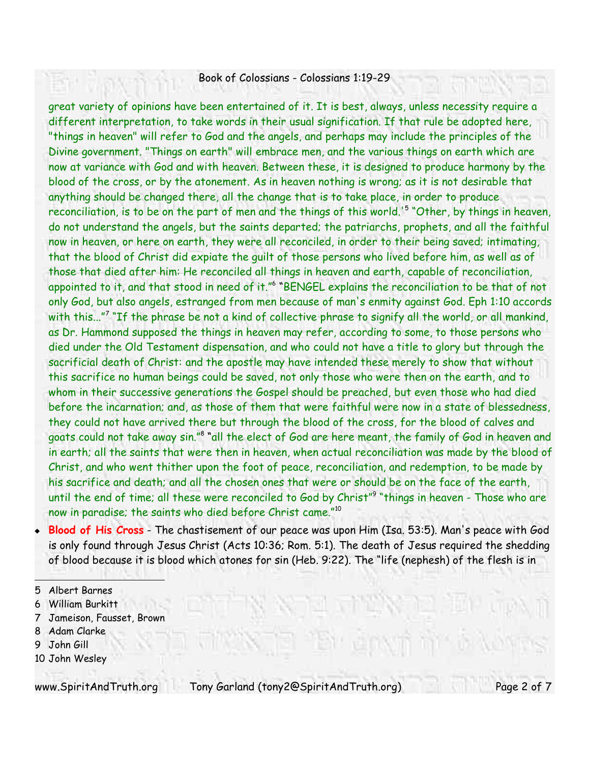great variety of opinions have been entertained of it. It is best, always, unless necessity require a different interpretation, to take words in their usual signification. If that rule be adopted here, "things in heaven" will refer to God and the angels, and perhaps may include the principles of the Divine government. "Things on earth" will embrace men, and the various things on earth which are now at variance with God and with heaven. Between these, it is designed to produce harmony by the blood of the cross, or by the atonement. As in heaven nothing is wrong; as it is not desirable that anything should be changed there, all the change that is to take place, in order to produce reconciliation, is to be on the part of men and the things of this world.' 5 "Other, by things in heaven, do not understand the angels, but the saints departed; the patriarchs, prophets, and all the faithful now in heaven, or here on earth, they were all reconciled, in order to their being saved; intimating, that the blood of Christ did expiate the guilt of those persons who lived before him, as well as of those that died after him: He reconciled all things in heaven and earth, capable of reconciliation, appointed to it, and that stood in need of it."<sup>6</sup> "BENGEL explains the reconciliation to be that of not only God, but also angels, estranged from men because of man's enmity against God. Eph 1:10 accords with this..." 7 "If the phrase be not a kind of collective phrase to signify all the world, or all mankind, as Dr. Hammond supposed the things in heaven may refer, according to some, to those persons who died under the Old Testament dispensation, and who could not have a title to glory but through the sacrificial death of Christ: and the apostle may have intended these merely to show that without this sacrifice no human beings could be saved, not only those who were then on the earth, and to whom in their successive generations the Gospel should be preached, but even those who had died before the incarnation; and, as those of them that were faithful were now in a state of blessedness, they could not have arrived there but through the blood of the cross, for the blood of calves and goats could not take away sin."<sup>8</sup> "all the elect of God are here meant, the family of God in heaven and in earth; all the saints that were then in heaven, when actual reconciliation was made by the blood of Christ, and who went thither upon the foot of peace, reconciliation, and redemption, to be made by his sacrifice and death; and all the chosen ones that were or should be on the face of the earth, until the end of time; all these were reconciled to God by Christ"<sup>9</sup> "things in heaven - Those who are now in paradise; the saints who died before Christ came." 10

 **Blood of His Cross** - The chastisement of our peace was upon Him (Isa. 53:5). Man's peace with God is only found through Jesus Christ (Acts 10:36; Rom. 5:1). The death of Jesus required the shedding of blood because it is blood which atones for sin (Heb. 9:22). The "life (nephesh) of the flesh is in

- 6 William Burkitt
- 7 Jameison, Fausset, Brown
- 8 Adam Clarke
- 9 John Gill
- 10 John Wesley

www.SpiritAndTruth.org Tony Garland (tony2@SpiritAndTruth.org) Page 2 of 7

<sup>5</sup> Albert Barnes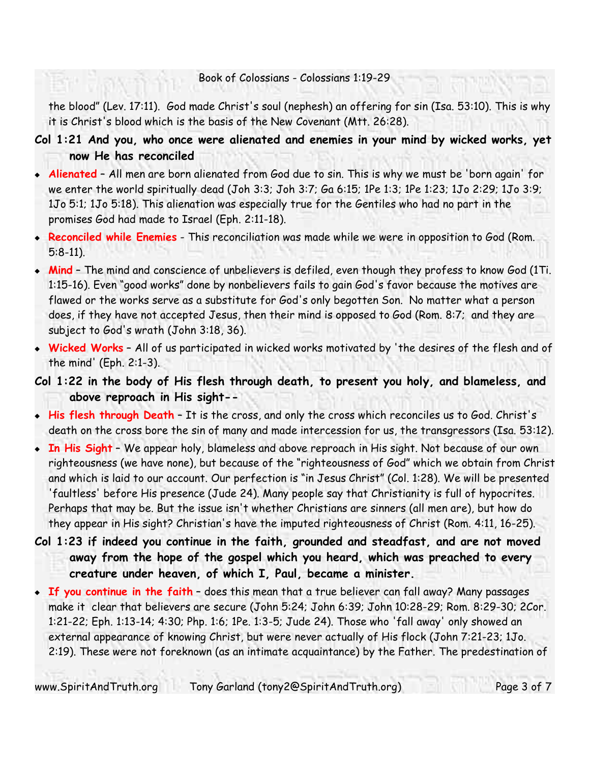the blood" (Lev. 17:11). God made Christ's soul (nephesh) an offering for sin (Isa. 53:10). This is why it is Christ's blood which is the basis of the New Covenant (Mtt. 26:28).

- **Col 1:21 And you, who once were alienated and enemies in your mind by wicked works, yet now He has reconciled**
- **Alienated** All men are born alienated from God due to sin. This is why we must be 'born again' for we enter the world spiritually dead (Joh 3:3; Joh 3:7; Ga 6:15; 1Pe 1:3; 1Pe 1:23; 1Jo 2:29; 1Jo 3:9; 1Jo 5:1; 1Jo 5:18). This alienation was especially true for the Gentiles who had no part in the promises God had made to Israel (Eph. 2:11-18).
- **Reconciled while Enemies** This reconciliation was made while we were in opposition to God (Rom. 5:8-11).
- **Mind** The mind and conscience of unbelievers is defiled, even though they profess to know God (1Ti. 1:15-16). Even "good works" done by nonbelievers fails to gain God's favor because the motives are flawed or the works serve as a substitute for God's only begotten Son. No matter what a person does, if they have not accepted Jesus, then their mind is opposed to God (Rom. 8:7; and they are subject to God's wrath (John 3:18, 36).
- **Wicked Works** All of us participated in wicked works motivated by 'the desires of the flesh and of the mind' (Eph. 2:1-3).

**Col 1:22 in the body of His flesh through death, to present you holy, and blameless, and above reproach in His sight--**

- **His flesh through Death** It is the cross, and only the cross which reconciles us to God. Christ's death on the cross bore the sin of many and made intercession for us, the transgressors (Isa. 53:12).
- **In His Sight** We appear holy, blameless and above reproach in His sight. Not because of our own righteousness (we have none), but because of the "righteousness of God" which we obtain from Christ and which is laid to our account. Our perfection is "in Jesus Christ" (Col. 1:28). We will be presented 'faultless' before His presence (Jude 24). Many people say that Christianity is full of hypocrites. Perhaps that may be. But the issue isn't whether Christians are sinners (all men are), but how do they appear in His sight? Christian's have the imputed righteousness of Christ (Rom. 4:11, 16-25).
- **Col 1:23 if indeed you continue in the faith, grounded and steadfast, and are not moved away from the hope of the gospel which you heard, which was preached to every creature under heaven, of which I, Paul, became a minister.**
- **If you continue in the faith** does this mean that a true believer can fall away? Many passages make it clear that believers are secure (John 5:24; John 6:39; John 10:28-29; Rom. 8:29-30; 2Cor. 1:21-22; Eph. 1:13-14; 4:30; Php. 1:6; 1Pe. 1:3-5; Jude 24). Those who 'fall away' only showed an external appearance of knowing Christ, but were never actually of His flock (John 7:21-23; 1Jo. 2:19). These were not foreknown (as an intimate acquaintance) by the Father. The predestination of

www.SpiritAndTruth.org Tony Garland (tony2@SpiritAndTruth.org) Page 3 of 7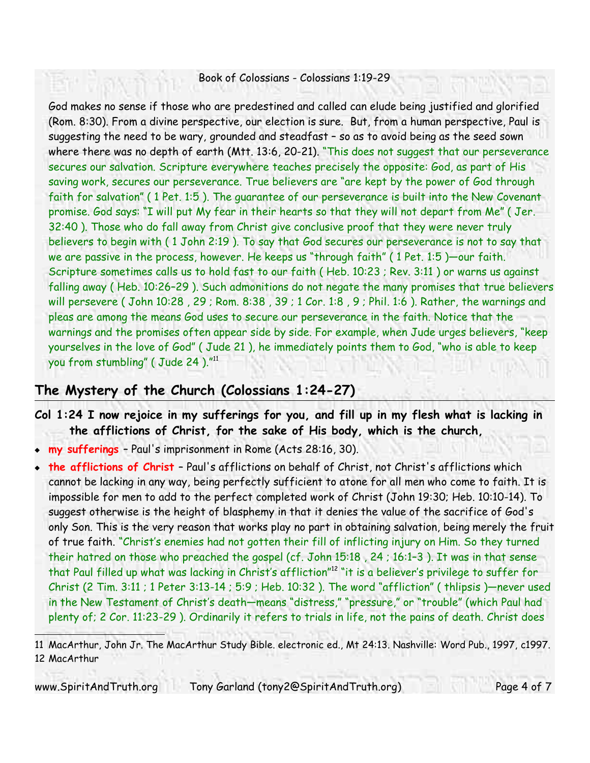God makes no sense if those who are predestined and called can elude being justified and glorified (Rom. 8:30). From a divine perspective, our election is sure. But, from a human perspective, Paul is suggesting the need to be wary, grounded and steadfast – so as to avoid being as the seed sown where there was no depth of earth (Mtt. 13:6, 20-21). "This does not suggest that our perseverance secures our salvation. Scripture everywhere teaches precisely the opposite: God, as part of His saving work, secures our perseverance. True believers are "are kept by the power of God through faith for salvation" ( 1 Pet. 1:5 ). The guarantee of our perseverance is built into the New Covenant promise. God says: "I will put My fear in their hearts so that they will not depart from Me" ( Jer. 32:40 ). Those who do fall away from Christ give conclusive proof that they were never truly believers to begin with ( 1 John 2:19 ). To say that God secures our perseverance is not to say that we are passive in the process, however. He keeps us "through faith" ( 1 Pet. 1:5 )—our faith. Scripture sometimes calls us to hold fast to our faith ( Heb. 10:23 ; Rev. 3:11 ) or warns us against falling away ( Heb. 10:26–29 ). Such admonitions do not negate the many promises that true believers will persevere ( John 10:28 , 29 ; Rom. 8:38 , 39 ; 1 Cor. 1:8 , 9 ; Phil. 1:6 ). Rather, the warnings and pleas are among the means God uses to secure our perseverance in the faith. Notice that the warnings and the promises often appear side by side. For example, when Jude urges believers, "keep yourselves in the love of God" ( Jude 21 ), he immediately points them to God, "who is able to keep you from stumbling" ( Jude 24 )."<sup>11</sup>

### **The Mystery of the Church (Colossians 1:24-27)**

- **Col 1:24 I now rejoice in my sufferings for you, and fill up in my flesh what is lacking in the afflictions of Christ, for the sake of His body, which is the church,**
- **my sufferings** Paul's imprisonment in Rome (Acts 28:16, 30).
- **the afflictions of Christ**  Paul's afflictions on behalf of Christ, not Christ's afflictions which cannot be lacking in any way, being perfectly sufficient to atone for all men who come to faith. It is impossible for men to add to the perfect completed work of Christ (John 19:30; Heb. 10:10-14). To suggest otherwise is the height of blasphemy in that it denies the value of the sacrifice of God's only Son. This is the very reason that works play no part in obtaining salvation, being merely the fruit of true faith. "Christ's enemies had not gotten their fill of inflicting injury on Him. So they turned their hatred on those who preached the gospel (cf. John 15:18 , 24 ; 16:1–3 ). It was in that sense that Paul filled up what was lacking in Christ's affliction"<sup>12</sup> "it is a believer's privilege to suffer for Christ (2 Tim. 3:11 ; 1 Peter 3:13-14 ; 5:9 ; Heb. 10:32 ). The word "affliction" ( thlipsis )—never used in the New Testament of Christ's death—means "distress," "pressure," or "trouble" (which Paul had plenty of; 2 Cor. 11:23-29 ). Ordinarily it refers to trials in life, not the pains of death. Christ does

11 MacArthur, John Jr. The MacArthur Study Bible. electronic ed., Mt 24:13. Nashville: Word Pub., 1997, c1997. 12 MacArthur

www.SpiritAndTruth.org Tony Garland (tony2@SpiritAndTruth.org) Page 4 of 7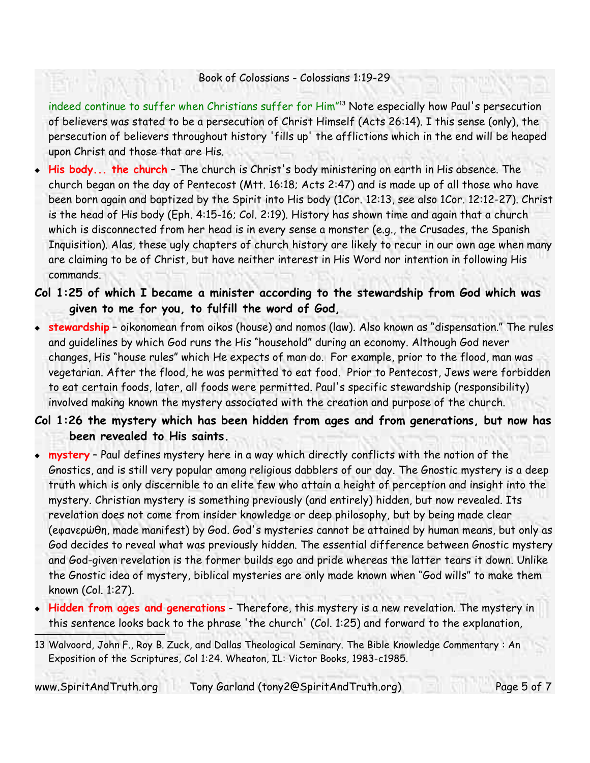indeed continue to suffer when Christians suffer for Him"<sup>13</sup> Note especially how Paul's persecution of believers was stated to be a persecution of Christ Himself (Acts 26:14). I this sense (only), the persecution of believers throughout history 'fills up' the afflictions which in the end will be heaped upon Christ and those that are His.

- **His body... the church** The church is Christ's body ministering on earth in His absence. The church began on the day of Pentecost (Mtt. 16:18; Acts 2:47) and is made up of all those who have been born again and baptized by the Spirit into His body (1Cor. 12:13, see also 1Cor. 12:12-27). Christ is the head of His body (Eph. 4:15-16; Col. 2:19). History has shown time and again that a church which is disconnected from her head is in every sense a monster (e.g., the Crusades, the Spanish Inquisition). Alas, these ugly chapters of church history are likely to recur in our own age when many are claiming to be of Christ, but have neither interest in His Word nor intention in following His commands.
- **Col 1:25 of which I became a minister according to the stewardship from God which was given to me for you, to fulfill the word of God,**
- **stewardship** oikonomean from oikos (house) and nomos (law). Also known as "dispensation." The rules and guidelines by which God runs the His "household" during an economy. Although God never changes, His "house rules" which He expects of man do. For example, prior to the flood, man was vegetarian. After the flood, he was permitted to eat food. Prior to Pentecost, Jews were forbidden to eat certain foods, later, all foods were permitted. Paul's specific stewardship (responsibility) involved making known the mystery associated with the creation and purpose of the church.

### **Col 1:26 the mystery which has been hidden from ages and from generations, but now has been revealed to His saints.**

- **mystery** Paul defines mystery here in a way which directly conflicts with the notion of the Gnostics, and is still very popular among religious dabblers of our day. The Gnostic mystery is a deep truth which is only discernible to an elite few who attain a height of perception and insight into the mystery. Christian mystery is something previously (and entirely) hidden, but now revealed. Its revelation does not come from insider knowledge or deep philosophy, but by being made clear (eφανερώθη, made manifest) by God. God's mysteries cannot be attained by human means, but only as God decides to reveal what was previously hidden. The essential difference between Gnostic mystery and God-given revelation is the former builds ego and pride whereas the latter tears it down. Unlike the Gnostic idea of mystery, biblical mysteries are only made known when "God wills" to make them known (Col. 1:27).
- **Hidden from ages and generations** Therefore, this mystery is a new revelation. The mystery in this sentence looks back to the phrase 'the church' (Col. 1:25) and forward to the explanation,

13 Walvoord, John F., Roy B. Zuck, and Dallas Theological Seminary. The Bible Knowledge Commentary : An Exposition of the Scriptures, Col 1:24. Wheaton, IL: Victor Books, 1983-c1985.

www.SpiritAndTruth.org Tony Garland (tony2@SpiritAndTruth.org) Page 5 of 7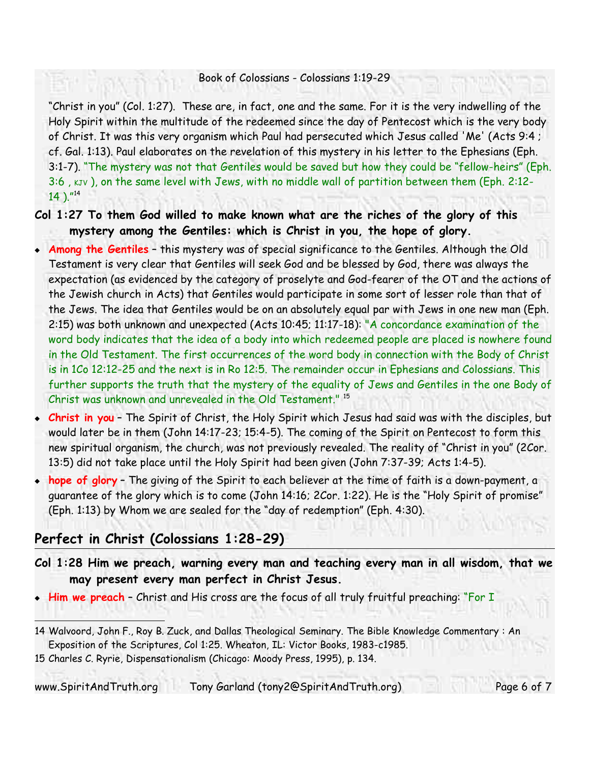"Christ in you" (Col. 1:27). These are, in fact, one and the same. For it is the very indwelling of the Holy Spirit within the multitude of the redeemed since the day of Pentecost which is the very body of Christ. It was this very organism which Paul had persecuted which Jesus called 'Me' (Acts 9:4 ; cf. Gal. 1:13). Paul elaborates on the revelation of this mystery in his letter to the Ephesians (Eph. 3:1-7). "The mystery was not that Gentiles would be saved but how they could be "fellow-heirs" (Eph. 3:6, KJV), on the same level with Jews, with no middle wall of partition between them (Eph. 2:12-14 )." 14

- **Col 1:27 To them God willed to make known what are the riches of the glory of this mystery among the Gentiles: which is Christ in you, the hope of glory.**
- **Among the Gentiles** this mystery was of special significance to the Gentiles. Although the Old Testament is very clear that Gentiles will seek God and be blessed by God, there was always the expectation (as evidenced by the category of proselyte and God-fearer of the OT and the actions of the Jewish church in Acts) that Gentiles would participate in some sort of lesser role than that of the Jews. The idea that Gentiles would be on an absolutely equal par with Jews in one new man (Eph. 2:15) was both unknown and unexpected (Acts 10:45; 11:17-18): "A concordance examination of the word body indicates that the idea of a body into which redeemed people are placed is nowhere found in the Old Testament. The first occurrences of the word body in connection with the Body of Christ is in 1Co 12:12-25 and the next is in Ro 12:5. The remainder occur in Ephesians and Colossians. This further supports the truth that the mystery of the equality of Jews and Gentiles in the one Body of Christ was unknown and unrevealed in the Old Testament." 15
- **Christ in you** The Spirit of Christ, the Holy Spirit which Jesus had said was with the disciples, but would later be in them (John 14:17-23; 15:4-5). The coming of the Spirit on Pentecost to form this new spiritual organism, the church, was not previously revealed. The reality of "Christ in you" (2Cor. 13:5) did not take place until the Holy Spirit had been given (John 7:37-39; Acts 1:4-5).
- **hope of glory** The giving of the Spirit to each believer at the time of faith is a down-payment, a guarantee of the glory which is to come (John 14:16; 2Cor. 1:22). He is the "Holy Spirit of promise" (Eph. 1:13) by Whom we are sealed for the "day of redemption" (Eph. 4:30).

# **Perfect in Christ (Colossians 1:28-29)**

- **Col 1:28 Him we preach, warning every man and teaching every man in all wisdom, that we may present every man perfect in Christ Jesus.**
- **Him we preach** Christ and His cross are the focus of all truly fruitful preaching: "For I

www.SpiritAndTruth.org Tony Garland (tony2@SpiritAndTruth.org) Page 6 of 7

<sup>14</sup> Walvoord, John F., Roy B. Zuck, and Dallas Theological Seminary. The Bible Knowledge Commentary : An Exposition of the Scriptures, Col 1:25. Wheaton, IL: Victor Books, 1983-c1985.

<sup>15</sup> Charles C. Ryrie, Dispensationalism (Chicago: Moody Press, 1995), p. 134.